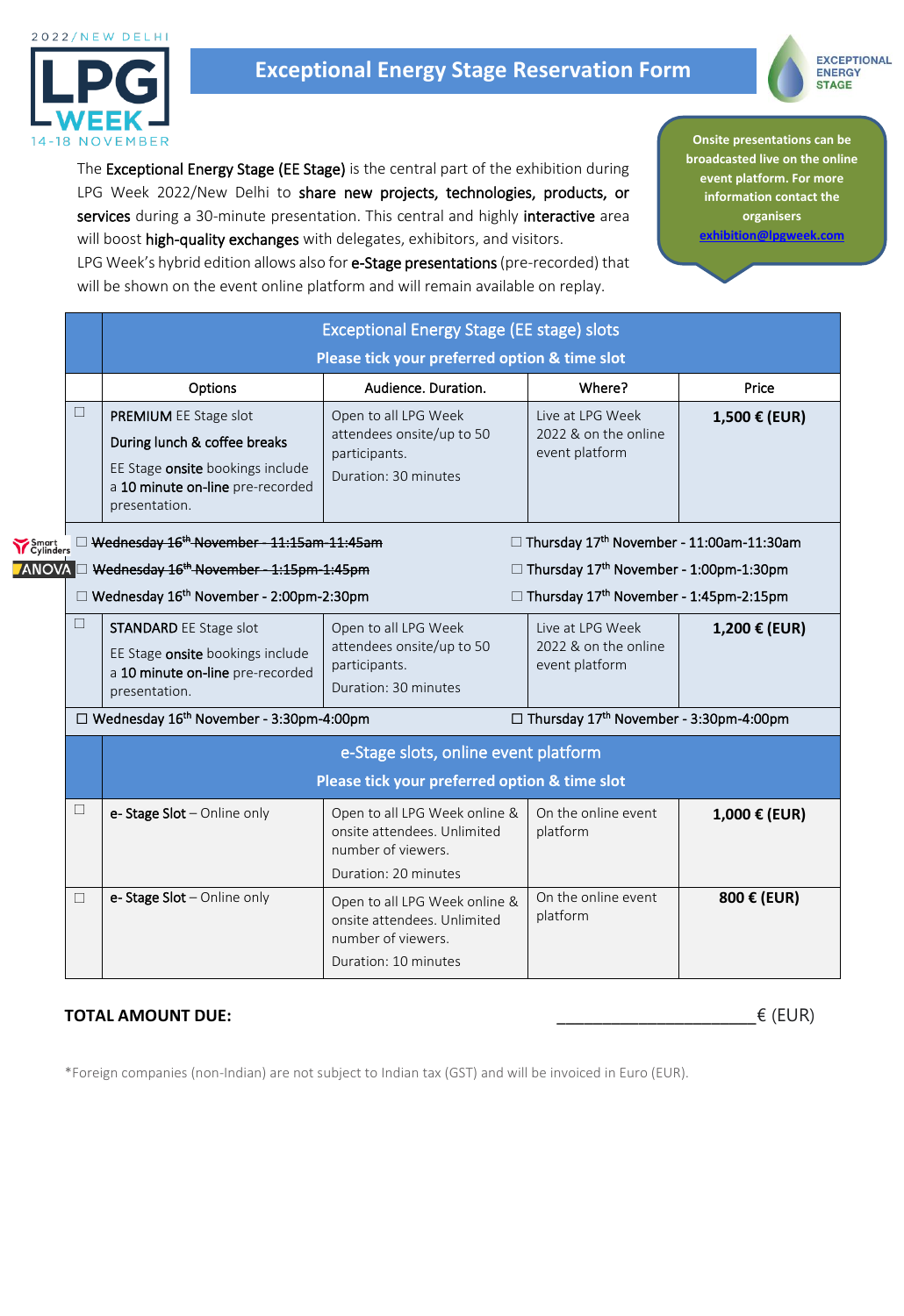

# **Exceptional Energy Stage Reservation Form**



**Onsite presentations can be broadcasted live on the online event platform. For more information contact the organisers [exhibition@lpgweek.com](mailto:exhibition@lpgweek.com)**

LPG Week 2022/New Delhi to share new projects, technologies, products, or services during a 30-minute presentation. This central and highly interactive area will boost high-quality exchanges with delegates, exhibitors, and visitors. LPG Week's hybrid edition allows also for **e-Stage presentations** (pre-recorded) that

will be shown on the event online platform and will remain available on replay.

The Exceptional Energy Stage (EE Stage) is the central part of the exhibition during

Exceptional Energy Stage (EE stage) slots **Please tick your preferred option & time slot** Options **Audience. Duration.** Networking Price  $\Box$  | **PREMIUM** EE Stage slot During lunch & coffee breaks EE Stage onsite bookings include a 10 minute on-line pre-recorded presentation. Open to all LPG Week attendees onsite/up to 50 participants. Duration: 30 minutes Live at LPG Week 2022 & on the online event platform **1,500 € (EUR)** □ <del>Wednesday 16<sup>th</sup> November - 11:15am-11:45am</del> Thursday 17<sup>th</sup>  $\square$  Thursday 17<sup>th</sup> November - 11:00am-11:30am □ <del>Wednesday 16<sup>th</sup> November - 1:15pm-1:45pm</del> □ Thursday 17<sup>th</sup>  $\square$  Thursday 17<sup>th</sup> November - 1:00pm-1:30pm  $\square$  Wednesday 16<sup>th</sup> November - 2:00pm-2:30pm  $\square$  Thursday 17<sup>th</sup>  $\Box$  Thursday 17<sup>th</sup> November - 1:45pm-2:15pm  $\Box$  STANDARD EE Stage slot EE Stage onsite bookings include a 10 minute on-line pre-recorded presentation. Open to all LPG Week attendees onsite/up to 50 participants. Duration: 30 minutes Live at LPG Week 2022 & on the online event platform **1,200 € (EUR)**   $\square$  Wednesday 16<sup>th</sup> November - 3:30pm-4:00pm  $\square$  Thursday 17<sup>th</sup>  $\Box$  Thursday 17<sup>th</sup> November - 3:30pm-4:00pm e-Stage slots, online event platform **Please tick your preferred option & time slot**  $\Box$  **e- Stage Slot** – Online only **Conservent Open to all LPG** Week online & onsite attendees. Unlimited number of viewers. Duration: 20 minutes On the online event platform **1,000 € (EUR)**  $\Box$  **e- Stage Slot** – Online only **Open to all LPG** Week online & onsite attendees. Unlimited number of viewers. Duration: 10 minutes On the online event platform **800 € (EUR)**

# **TOTAL AMOUNT DUE:**  $\in$  (EUR)

\*Foreign companies (non-Indian) are not subject to Indian tax (GST) and will be invoiced in Euro (EUR).